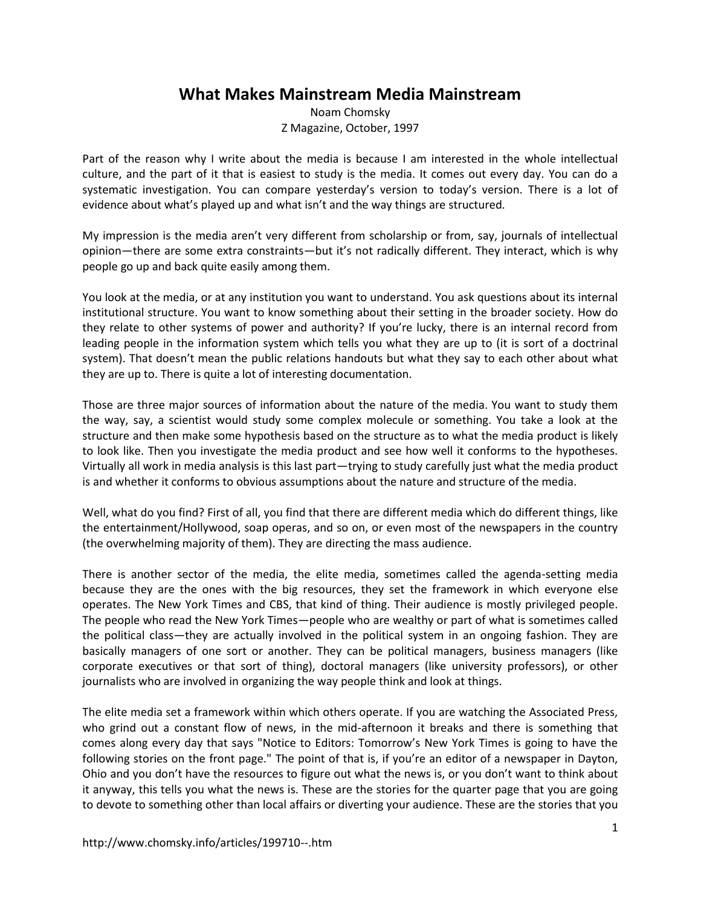## **What Makes Mainstream Media Mainstream**

Noam Chomsky Z Magazine, October, 1997

Part of the reason why I write about the media is because I am interested in the whole intellectual culture, and the part of it that is easiest to study is the media. It comes out every day. You can do a systematic investigation. You can compare yesterday's version to today's version. There is a lot of evidence about what's played up and what isn't and the way things are structured.

My impression is the media aren't very different from scholarship or from, say, journals of intellectual opinion—there are some extra constraints—but it's not radically different. They interact, which is why people go up and back quite easily among them.

You look at the media, or at any institution you want to understand. You ask questions about its internal institutional structure. You want to know something about their setting in the broader society. How do they relate to other systems of power and authority? If you're lucky, there is an internal record from leading people in the information system which tells you what they are up to (it is sort of a doctrinal system). That doesn't mean the public relations handouts but what they say to each other about what they are up to. There is quite a lot of interesting documentation.

Those are three major sources of information about the nature of the media. You want to study them the way, say, a scientist would study some complex molecule or something. You take a look at the structure and then make some hypothesis based on the structure as to what the media product is likely to look like. Then you investigate the media product and see how well it conforms to the hypotheses. Virtually all work in media analysis is this last part—trying to study carefully just what the media product is and whether it conforms to obvious assumptions about the nature and structure of the media.

Well, what do you find? First of all, you find that there are different media which do different things, like the entertainment/Hollywood, soap operas, and so on, or even most of the newspapers in the country (the overwhelming majority of them). They are directing the mass audience.

There is another sector of the media, the elite media, sometimes called the agenda-setting media because they are the ones with the big resources, they set the framework in which everyone else operates. The New York Times and CBS, that kind of thing. Their audience is mostly privileged people. The people who read the New York Times—people who are wealthy or part of what is sometimes called the political class—they are actually involved in the political system in an ongoing fashion. They are basically managers of one sort or another. They can be political managers, business managers (like corporate executives or that sort of thing), doctoral managers (like university professors), or other journalists who are involved in organizing the way people think and look at things.

The elite media set a framework within which others operate. If you are watching the Associated Press, who grind out a constant flow of news, in the mid-afternoon it breaks and there is something that comes along every day that says "Notice to Editors: Tomorrow's New York Times is going to have the following stories on the front page." The point of that is, if you're an editor of a newspaper in Dayton, Ohio and you don't have the resources to figure out what the news is, or you don't want to think about it anyway, this tells you what the news is. These are the stories for the quarter page that you are going to devote to something other than local affairs or diverting your audience. These are the stories that you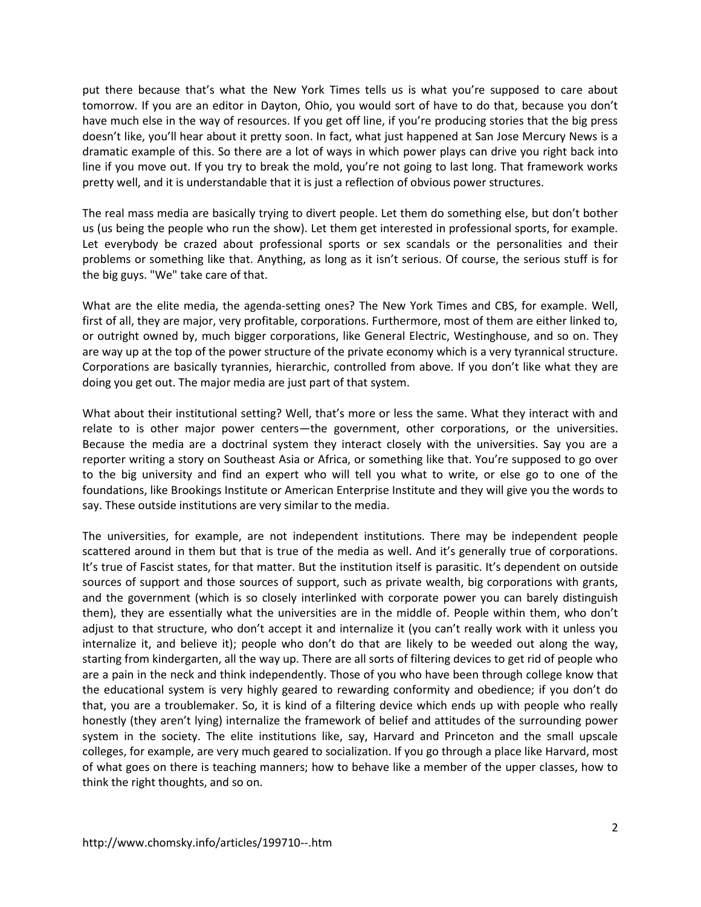put there because that's what the New York Times tells us is what you're supposed to care about tomorrow. If you are an editor in Dayton, Ohio, you would sort of have to do that, because you don't have much else in the way of resources. If you get off line, if you're producing stories that the big press doesn't like, you'll hear about it pretty soon. In fact, what just happened at San Jose Mercury News is a dramatic example of this. So there are a lot of ways in which power plays can drive you right back into line if you move out. If you try to break the mold, you're not going to last long. That framework works pretty well, and it is understandable that it is just a reflection of obvious power structures.

The real mass media are basically trying to divert people. Let them do something else, but don't bother us (us being the people who run the show). Let them get interested in professional sports, for example. Let everybody be crazed about professional sports or sex scandals or the personalities and their problems or something like that. Anything, as long as it isn't serious. Of course, the serious stuff is for the big guys. "We" take care of that.

What are the elite media, the agenda-setting ones? The New York Times and CBS, for example. Well, first of all, they are major, very profitable, corporations. Furthermore, most of them are either linked to, or outright owned by, much bigger corporations, like General Electric, Westinghouse, and so on. They are way up at the top of the power structure of the private economy which is a very tyrannical structure. Corporations are basically tyrannies, hierarchic, controlled from above. If you don't like what they are doing you get out. The major media are just part of that system.

What about their institutional setting? Well, that's more or less the same. What they interact with and relate to is other major power centers—the government, other corporations, or the universities. Because the media are a doctrinal system they interact closely with the universities. Say you are a reporter writing a story on Southeast Asia or Africa, or something like that. You're supposed to go over to the big university and find an expert who will tell you what to write, or else go to one of the foundations, like Brookings Institute or American Enterprise Institute and they will give you the words to say. These outside institutions are very similar to the media.

The universities, for example, are not independent institutions. There may be independent people scattered around in them but that is true of the media as well. And it's generally true of corporations. It's true of Fascist states, for that matter. But the institution itself is parasitic. It's dependent on outside sources of support and those sources of support, such as private wealth, big corporations with grants, and the government (which is so closely interlinked with corporate power you can barely distinguish them), they are essentially what the universities are in the middle of. People within them, who don't adjust to that structure, who don't accept it and internalize it (you can't really work with it unless you internalize it, and believe it); people who don't do that are likely to be weeded out along the way, starting from kindergarten, all the way up. There are all sorts of filtering devices to get rid of people who are a pain in the neck and think independently. Those of you who have been through college know that the educational system is very highly geared to rewarding conformity and obedience; if you don't do that, you are a troublemaker. So, it is kind of a filtering device which ends up with people who really honestly (they aren't lying) internalize the framework of belief and attitudes of the surrounding power system in the society. The elite institutions like, say, Harvard and Princeton and the small upscale colleges, for example, are very much geared to socialization. If you go through a place like Harvard, most of what goes on there is teaching manners; how to behave like a member of the upper classes, how to think the right thoughts, and so on.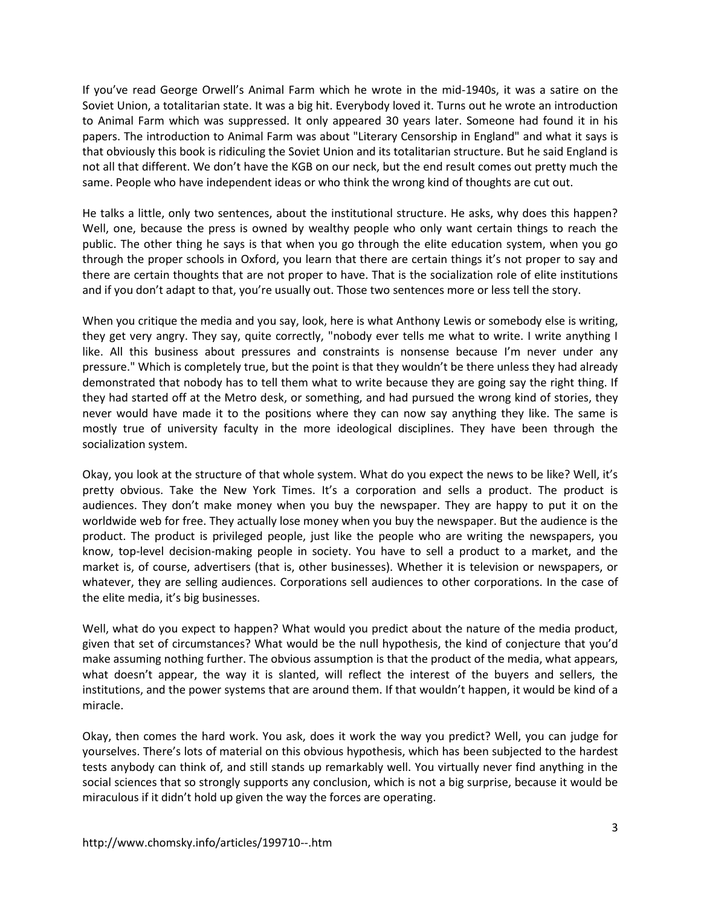If you've read George Orwell's Animal Farm which he wrote in the mid-1940s, it was a satire on the Soviet Union, a totalitarian state. It was a big hit. Everybody loved it. Turns out he wrote an introduction to Animal Farm which was suppressed. It only appeared 30 years later. Someone had found it in his papers. The introduction to Animal Farm was about "Literary Censorship in England" and what it says is that obviously this book is ridiculing the Soviet Union and its totalitarian structure. But he said England is not all that different. We don't have the KGB on our neck, but the end result comes out pretty much the same. People who have independent ideas or who think the wrong kind of thoughts are cut out.

He talks a little, only two sentences, about the institutional structure. He asks, why does this happen? Well, one, because the press is owned by wealthy people who only want certain things to reach the public. The other thing he says is that when you go through the elite education system, when you go through the proper schools in Oxford, you learn that there are certain things it's not proper to say and there are certain thoughts that are not proper to have. That is the socialization role of elite institutions and if you don't adapt to that, you're usually out. Those two sentences more or less tell the story.

When you critique the media and you say, look, here is what Anthony Lewis or somebody else is writing, they get very angry. They say, quite correctly, "nobody ever tells me what to write. I write anything I like. All this business about pressures and constraints is nonsense because I'm never under any pressure." Which is completely true, but the point is that they wouldn't be there unless they had already demonstrated that nobody has to tell them what to write because they are going say the right thing. If they had started off at the Metro desk, or something, and had pursued the wrong kind of stories, they never would have made it to the positions where they can now say anything they like. The same is mostly true of university faculty in the more ideological disciplines. They have been through the socialization system.

Okay, you look at the structure of that whole system. What do you expect the news to be like? Well, it's pretty obvious. Take the New York Times. It's a corporation and sells a product. The product is audiences. They don't make money when you buy the newspaper. They are happy to put it on the worldwide web for free. They actually lose money when you buy the newspaper. But the audience is the product. The product is privileged people, just like the people who are writing the newspapers, you know, top-level decision-making people in society. You have to sell a product to a market, and the market is, of course, advertisers (that is, other businesses). Whether it is television or newspapers, or whatever, they are selling audiences. Corporations sell audiences to other corporations. In the case of the elite media, it's big businesses.

Well, what do you expect to happen? What would you predict about the nature of the media product, given that set of circumstances? What would be the null hypothesis, the kind of conjecture that you'd make assuming nothing further. The obvious assumption is that the product of the media, what appears, what doesn't appear, the way it is slanted, will reflect the interest of the buyers and sellers, the institutions, and the power systems that are around them. If that wouldn't happen, it would be kind of a miracle.

Okay, then comes the hard work. You ask, does it work the way you predict? Well, you can judge for yourselves. There's lots of material on this obvious hypothesis, which has been subjected to the hardest tests anybody can think of, and still stands up remarkably well. You virtually never find anything in the social sciences that so strongly supports any conclusion, which is not a big surprise, because it would be miraculous if it didn't hold up given the way the forces are operating.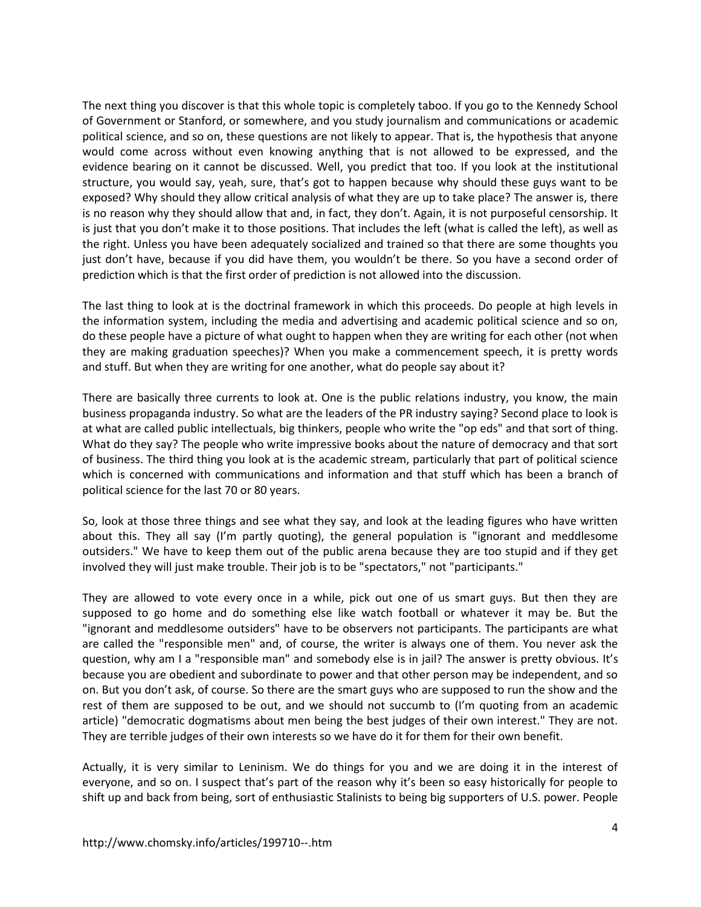The next thing you discover is that this whole topic is completely taboo. If you go to the Kennedy School of Government or Stanford, or somewhere, and you study journalism and communications or academic political science, and so on, these questions are not likely to appear. That is, the hypothesis that anyone would come across without even knowing anything that is not allowed to be expressed, and the evidence bearing on it cannot be discussed. Well, you predict that too. If you look at the institutional structure, you would say, yeah, sure, that's got to happen because why should these guys want to be exposed? Why should they allow critical analysis of what they are up to take place? The answer is, there is no reason why they should allow that and, in fact, they don't. Again, it is not purposeful censorship. It is just that you don't make it to those positions. That includes the left (what is called the left), as well as the right. Unless you have been adequately socialized and trained so that there are some thoughts you just don't have, because if you did have them, you wouldn't be there. So you have a second order of prediction which is that the first order of prediction is not allowed into the discussion.

The last thing to look at is the doctrinal framework in which this proceeds. Do people at high levels in the information system, including the media and advertising and academic political science and so on, do these people have a picture of what ought to happen when they are writing for each other (not when they are making graduation speeches)? When you make a commencement speech, it is pretty words and stuff. But when they are writing for one another, what do people say about it?

There are basically three currents to look at. One is the public relations industry, you know, the main business propaganda industry. So what are the leaders of the PR industry saying? Second place to look is at what are called public intellectuals, big thinkers, people who write the "op eds" and that sort of thing. What do they say? The people who write impressive books about the nature of democracy and that sort of business. The third thing you look at is the academic stream, particularly that part of political science which is concerned with communications and information and that stuff which has been a branch of political science for the last 70 or 80 years.

So, look at those three things and see what they say, and look at the leading figures who have written about this. They all say (I'm partly quoting), the general population is "ignorant and meddlesome outsiders." We have to keep them out of the public arena because they are too stupid and if they get involved they will just make trouble. Their job is to be "spectators," not "participants."

They are allowed to vote every once in a while, pick out one of us smart guys. But then they are supposed to go home and do something else like watch football or whatever it may be. But the "ignorant and meddlesome outsiders" have to be observers not participants. The participants are what are called the "responsible men" and, of course, the writer is always one of them. You never ask the question, why am I a "responsible man" and somebody else is in jail? The answer is pretty obvious. It's because you are obedient and subordinate to power and that other person may be independent, and so on. But you don't ask, of course. So there are the smart guys who are supposed to run the show and the rest of them are supposed to be out, and we should not succumb to (I'm quoting from an academic article) "democratic dogmatisms about men being the best judges of their own interest." They are not. They are terrible judges of their own interests so we have do it for them for their own benefit.

Actually, it is very similar to Leninism. We do things for you and we are doing it in the interest of everyone, and so on. I suspect that's part of the reason why it's been so easy historically for people to shift up and back from being, sort of enthusiastic Stalinists to being big supporters of U.S. power. People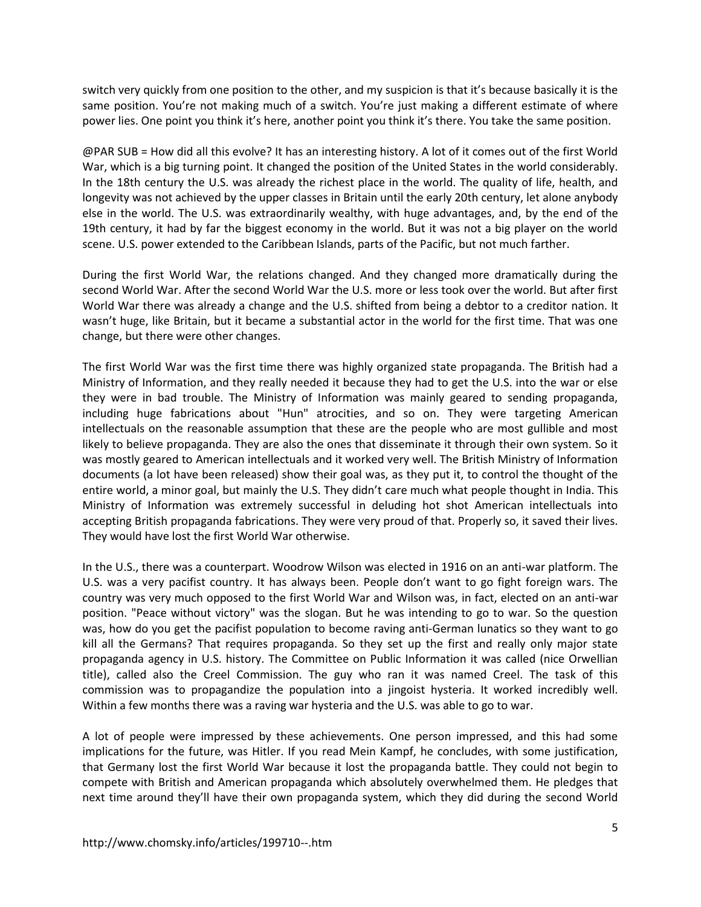switch very quickly from one position to the other, and my suspicion is that it's because basically it is the same position. You're not making much of a switch. You're just making a different estimate of where power lies. One point you think it's here, another point you think it's there. You take the same position.

@PAR SUB = How did all this evolve? It has an interesting history. A lot of it comes out of the first World War, which is a big turning point. It changed the position of the United States in the world considerably. In the 18th century the U.S. was already the richest place in the world. The quality of life, health, and longevity was not achieved by the upper classes in Britain until the early 20th century, let alone anybody else in the world. The U.S. was extraordinarily wealthy, with huge advantages, and, by the end of the 19th century, it had by far the biggest economy in the world. But it was not a big player on the world scene. U.S. power extended to the Caribbean Islands, parts of the Pacific, but not much farther.

During the first World War, the relations changed. And they changed more dramatically during the second World War. After the second World War the U.S. more or less took over the world. But after first World War there was already a change and the U.S. shifted from being a debtor to a creditor nation. It wasn't huge, like Britain, but it became a substantial actor in the world for the first time. That was one change, but there were other changes.

The first World War was the first time there was highly organized state propaganda. The British had a Ministry of Information, and they really needed it because they had to get the U.S. into the war or else they were in bad trouble. The Ministry of Information was mainly geared to sending propaganda, including huge fabrications about "Hun" atrocities, and so on. They were targeting American intellectuals on the reasonable assumption that these are the people who are most gullible and most likely to believe propaganda. They are also the ones that disseminate it through their own system. So it was mostly geared to American intellectuals and it worked very well. The British Ministry of Information documents (a lot have been released) show their goal was, as they put it, to control the thought of the entire world, a minor goal, but mainly the U.S. They didn't care much what people thought in India. This Ministry of Information was extremely successful in deluding hot shot American intellectuals into accepting British propaganda fabrications. They were very proud of that. Properly so, it saved their lives. They would have lost the first World War otherwise.

In the U.S., there was a counterpart. Woodrow Wilson was elected in 1916 on an anti-war platform. The U.S. was a very pacifist country. It has always been. People don't want to go fight foreign wars. The country was very much opposed to the first World War and Wilson was, in fact, elected on an anti-war position. "Peace without victory" was the slogan. But he was intending to go to war. So the question was, how do you get the pacifist population to become raving anti-German lunatics so they want to go kill all the Germans? That requires propaganda. So they set up the first and really only major state propaganda agency in U.S. history. The Committee on Public Information it was called (nice Orwellian title), called also the Creel Commission. The guy who ran it was named Creel. The task of this commission was to propagandize the population into a jingoist hysteria. It worked incredibly well. Within a few months there was a raving war hysteria and the U.S. was able to go to war.

A lot of people were impressed by these achievements. One person impressed, and this had some implications for the future, was Hitler. If you read Mein Kampf, he concludes, with some justification, that Germany lost the first World War because it lost the propaganda battle. They could not begin to compete with British and American propaganda which absolutely overwhelmed them. He pledges that next time around they'll have their own propaganda system, which they did during the second World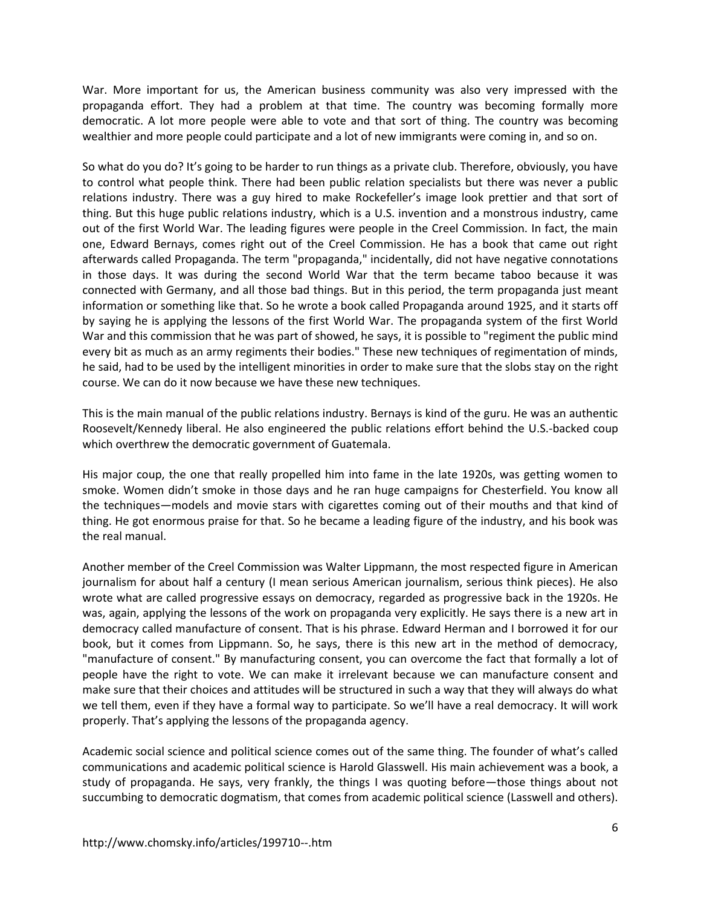War. More important for us, the American business community was also very impressed with the propaganda effort. They had a problem at that time. The country was becoming formally more democratic. A lot more people were able to vote and that sort of thing. The country was becoming wealthier and more people could participate and a lot of new immigrants were coming in, and so on.

So what do you do? It's going to be harder to run things as a private club. Therefore, obviously, you have to control what people think. There had been public relation specialists but there was never a public relations industry. There was a guy hired to make Rockefeller's image look prettier and that sort of thing. But this huge public relations industry, which is a U.S. invention and a monstrous industry, came out of the first World War. The leading figures were people in the Creel Commission. In fact, the main one, Edward Bernays, comes right out of the Creel Commission. He has a book that came out right afterwards called Propaganda. The term "propaganda," incidentally, did not have negative connotations in those days. It was during the second World War that the term became taboo because it was connected with Germany, and all those bad things. But in this period, the term propaganda just meant information or something like that. So he wrote a book called Propaganda around 1925, and it starts off by saying he is applying the lessons of the first World War. The propaganda system of the first World War and this commission that he was part of showed, he says, it is possible to "regiment the public mind every bit as much as an army regiments their bodies." These new techniques of regimentation of minds, he said, had to be used by the intelligent minorities in order to make sure that the slobs stay on the right course. We can do it now because we have these new techniques.

This is the main manual of the public relations industry. Bernays is kind of the guru. He was an authentic Roosevelt/Kennedy liberal. He also engineered the public relations effort behind the U.S.-backed coup which overthrew the democratic government of Guatemala.

His major coup, the one that really propelled him into fame in the late 1920s, was getting women to smoke. Women didn't smoke in those days and he ran huge campaigns for Chesterfield. You know all the techniques—models and movie stars with cigarettes coming out of their mouths and that kind of thing. He got enormous praise for that. So he became a leading figure of the industry, and his book was the real manual.

Another member of the Creel Commission was Walter Lippmann, the most respected figure in American journalism for about half a century (I mean serious American journalism, serious think pieces). He also wrote what are called progressive essays on democracy, regarded as progressive back in the 1920s. He was, again, applying the lessons of the work on propaganda very explicitly. He says there is a new art in democracy called manufacture of consent. That is his phrase. Edward Herman and I borrowed it for our book, but it comes from Lippmann. So, he says, there is this new art in the method of democracy, "manufacture of consent." By manufacturing consent, you can overcome the fact that formally a lot of people have the right to vote. We can make it irrelevant because we can manufacture consent and make sure that their choices and attitudes will be structured in such a way that they will always do what we tell them, even if they have a formal way to participate. So we'll have a real democracy. It will work properly. That's applying the lessons of the propaganda agency.

Academic social science and political science comes out of the same thing. The founder of what's called communications and academic political science is Harold Glasswell. His main achievement was a book, a study of propaganda. He says, very frankly, the things I was quoting before—those things about not succumbing to democratic dogmatism, that comes from academic political science (Lasswell and others).